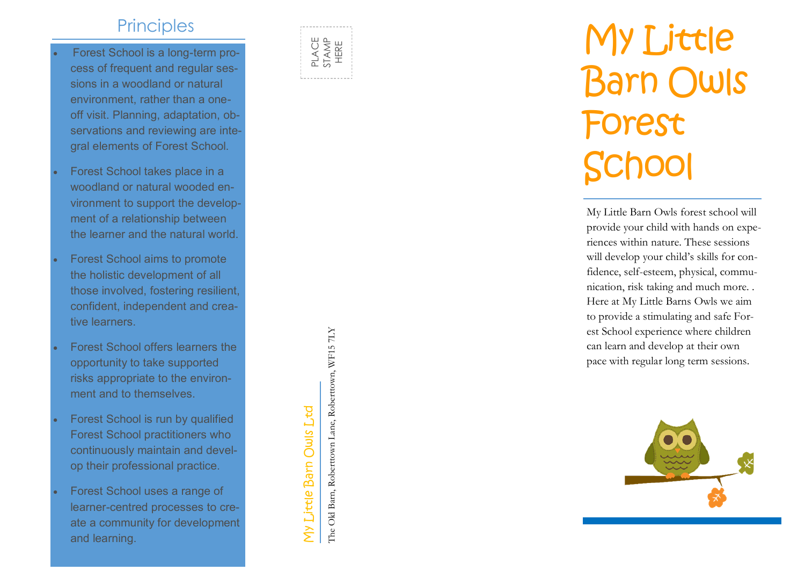## **Principles**

- Forest School is a long-term process of frequent and regular sessions in a woodland or natural environment, rather than a one off visit. Planning, adaptation, observations and reviewing are integral elements of Forest School.
- Forest School takes place in a woodland or natural wooded environment to support the development of a relationship between the learner and the natural world.
- Forest School aims to promote the holistic development of all those involved, fostering resilient, confident, independent and creative learners.
- Forest School offers learners the opportunity to take supported risks appropriate to the environment and to themselves.
- Forest School is run by qualified Forest School practitioners who continuously maintain and develop their professional practice.
- Forest School uses a range of learner -centred processes to create a community for development and learning.



## My Little Barn Owls Forest School

My Little Barn Owls forest school will provide your child with hands on experiences within nature. These sessions will develop your child's skills for confidence, self-esteem, physical, communication, risk taking and much more. . Here at My Little Barns Owls we aim to provide a stimulating and safe Forest School experience where children can learn and develop at their own pace with regular long term sessions.



My Little Barn Owls Ltd The Old Barn Owls Ltd The Old Barn, Robertswith Lane, Robert over Department Research Collection Collection Collection Collection Collection Collection Collection Collection Collection Collection C